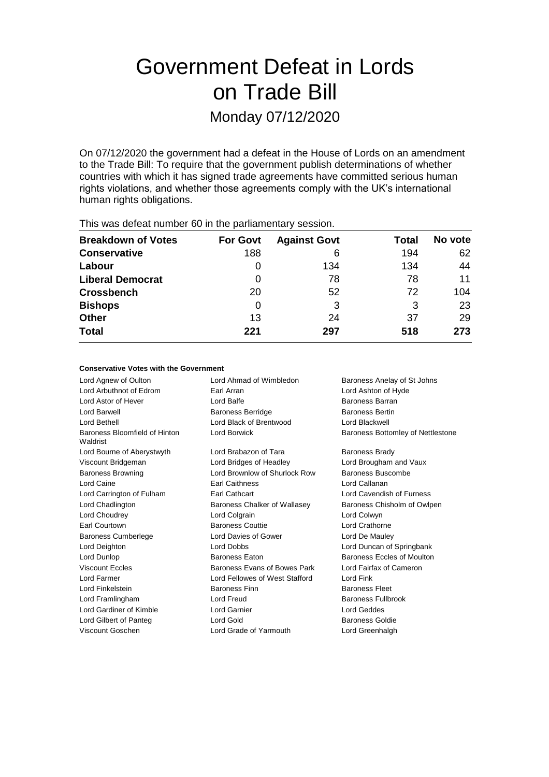# Government Defeat in Lords on Trade Bill

Monday 07/12/2020

On 07/12/2020 the government had a defeat in the House of Lords on an amendment to the Trade Bill: To require that the government publish determinations of whether countries with which it has signed trade agreements have committed serious human rights violations, and whether those agreements comply with the UK's international human rights obligations.

| <b>THIS WAS ACTUALTIQUIDED OF ILL LIC PAILIALITERIALY SUSSION.</b> |                 |                     |       |         |  |  |
|--------------------------------------------------------------------|-----------------|---------------------|-------|---------|--|--|
| <b>Breakdown of Votes</b>                                          | <b>For Govt</b> | <b>Against Govt</b> | Total | No vote |  |  |
| <b>Conservative</b>                                                | 188             | 6                   | 194   | 62      |  |  |
| Labour                                                             | O               | 134                 | 134   | 44      |  |  |
| <b>Liberal Democrat</b>                                            | 0               | 78                  | 78    | 11      |  |  |
| <b>Crossbench</b>                                                  | 20              | 52                  | 72    | 104     |  |  |
| <b>Bishops</b>                                                     | 0               | 3                   | 3     | 23      |  |  |
| <b>Other</b>                                                       | 13              | 24                  | 37    | 29      |  |  |
| <b>Total</b>                                                       | 221             | 297                 | 518   | 273     |  |  |
|                                                                    |                 |                     |       |         |  |  |

This was defeat number 60 in the parliamentary session.

#### **Conservative Votes with the Government**

Lord Agnew of Oulton **Lord Ahmad of Wimbledon** Baroness Anelay of St Johns Lord Arbuthnot of Edrom Earl Arran Lord Ashton of Hyde Lord Astor of Hever Lord Balfe Baroness Barran Lord Barwell **Baroness Berridge** Baroness Bertin Lord Bethell Lord Black of Brentwood Lord Blackwell Baroness Bloomfield of Hinton Waldrist Lord Borwick **Baroness Bottomley of Nettlestone** Lord Bourne of Aberystwyth Lord Brabazon of Tara Baroness Brady Viscount Bridgeman Lord Bridges of Headley Lord Brougham and Vaux Baroness Browning Lord Brownlow of Shurlock Row Baroness Buscombe Lord Caine Earl Caithness Lord Callanan Lord Carrington of Fulham Earl Cathcart Lord Cavendish of Furness Lord Chadlington **Baroness Chalker of Wallasey** Baroness Chisholm of Owlpen Lord Choudrey Lord Colgrain Lord Colwyn Earl Courtown **Baroness Couttie Lord Crathorne** Baroness Cumberlege Lord Davies of Gower Lord De Mauley Lord Deighton Lord Dobbs Lord Duncan of Springbank Lord Dunlop **Baroness Eaton** Baroness Eaton **Baroness Eccles of Moulton** Viscount Eccles **Baroness Evans of Bowes Park** Lord Fairfax of Cameron Lord Farmer Lord Fellowes of West Stafford Lord Fink Lord Finkelstein Baroness Finn Baroness Fleet Lord Framlingham **Lord Freud** Baroness Fullbrook Lord Gardiner of Kimble **Lord Garnier** Lord Garnier **Lord Geddes** Lord Gilbert of Panteg **Lord Gold** Baroness Goldie Viscount Goschen Lord Grade of Yarmouth Lord Greenhalgh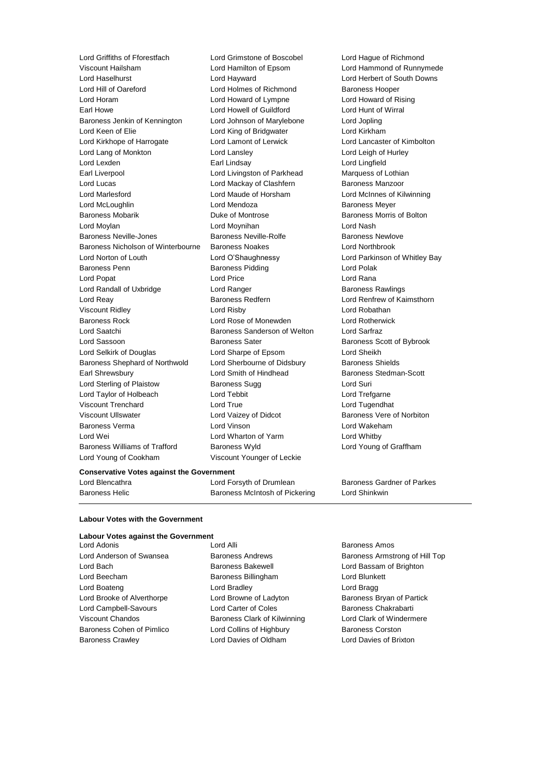Lord Griffiths of Fforestfach Lord Grimstone of Boscobel Lord Hague of Richmond Lord Haselhurst Lord Hayward Lord Herbert of South Downs Lord Hill of Oareford **Lord Holmes of Richmond** Baroness Hooper Lord Horam Lord Howard of Lympne Lord Howard of Rising Earl Howe Lord Howell of Guildford Lord Hunt of Wirral Baroness Jenkin of Kennington Lord Johnson of Marylebone Lord Jopling Lord Keen of Elie Lord King of Bridgwater Lord Kirkham Lord Kirkhope of Harrogate Lord Lamont of Lerwick Lord Lancaster of Kimbolton Lord Lang of Monkton Lord Lansley Lord Leigh of Hurley Lord Lexden Earl Lindsay Lord Lingfield Earl Liverpool Lord Livingston of Parkhead Marquess of Lothian Lord Lucas **Lord Mackay of Clashfern** Baroness Manzoor Lord Marlesford **Lord Maude of Horsham** Lord McInnes of Kilwinning Lord McLoughlin Lord Mendoza Baroness Meyer Baroness Mobarik **Baroness Mobaris Community** Duke of Montrose **Baroness Morris of Bolton** Lord Moylan Lord Moynihan Lord Nash Baroness Neville-Jones **Baroness Neville-Rolfe** Baroness Newlove Baroness Nicholson of Winterbourne Baroness Noakes Lord Northbrook Lord Norton of Louth Lord O'Shaughnessy Lord Parkinson of Whitley Bay Baroness Penn Baroness Pidding Lord Polak Lord Popat Lord Price Lord Rana Lord Randall of Uxbridge **Lord Ranger** Lord Ranger **Baroness Rawlings** Lord Reay **Baroness Redfern Lord Renfrew of Kaimsthorn** Lord Renfrew of Kaimsthorn Viscount Ridley Lord Risby Lord Robathan Baroness Rock Lord Rose of Monewden Lord Rotherwick Lord Saatchi Baroness Sanderson of Welton Lord Sarfraz Lord Sassoon **Baroness Sater** Baroness Sater Baroness Scott of Bybrook Lord Selkirk of Douglas Lord Sharpe of Epsom Lord Sheikh Baroness Shephard of Northwold Lord Sherbourne of Didsbury Baroness Shields Earl Shrewsbury **Example 20** Lord Smith of Hindhead Baroness Stedman-Scott Lord Sterling of Plaistow **Baroness Sugg Community** Lord Suri Lord Taylor of Holbeach Lord Tebbit Lord Trefgarne Viscount Trenchard Lord True Lord Tugendhat Viscount Ullswater **Lord Vaizey of Didcot** Baroness Vere of Norbiton Baroness Verma Lord Vinson Lord Wakeham Lord Wei **Lord Wharton of Yarm** Lord Whitby Baroness Williams of Trafford Baroness Wyld Lord Young of Graffham Lord Young of Cookham Viscount Younger of Leckie

Lord Hamilton of Epsom Lord Hammond of Runnymede

**Conservative Votes against the Government**

Lord Blencathra Lord Forsyth of Drumlean Baroness Gardner of Parkes Baroness Helic **Baroness McIntosh of Pickering** Lord Shinkwin

#### **Labour Votes with the Government**

### **Labour Votes against the Government**<br>Lord Adonis

Lord Bach **Baroness Bakewell Baroness Bakewell Lord Bassam of Brighton** Lord Beecham Baroness Billingham Lord Blunkett Lord Boateng **Lord Bradley** Lord Bradley **Lord Bragg** Lord Brooke of Alverthorpe **Lord Browne of Ladyton** Baroness Bryan of Partick Lord Campbell-Savours Lord Carter of Coles Baroness Chakrabarti Viscount Chandos **Baroness Clark of Kilwinning** Lord Clark of Windermere Baroness Cohen of Pimlico **Lord Collins of Highbury** Baroness Corston Baroness Crawley Lord Davies of Oldham Lord Davies of Brixton

Lord Adonis **Lord Alli Lord Alli Baroness Amos** 

Lord Anderson of Swansea Baroness Andrews Baroness Armstrong of Hill Top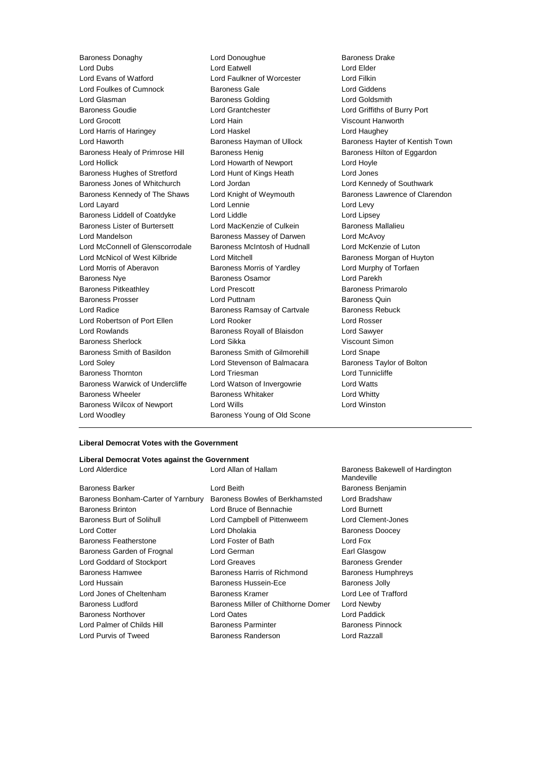Baroness Donaghy Lord Donoughue Baroness Drake Lord Dubs Lord Eatwell Lord Elder Lord Evans of Watford Lord Faulkner of Worcester Lord Filkin Lord Foulkes of Cumnock Baroness Gale Lord Giddens Lord Glasman Baroness Golding Lord Goldsmith Baroness Goudie Lord Grantchester Lord Griffiths of Burry Port Lord Grocott Lord Hain Viscount Hanworth Lord Harris of Haringey **Lord Haskel** Lord Haughey **Lord Haughey** Lord Haworth **Baroness Hayman of Ullock** Baroness Hayter of Kentish Town Baroness Healy of Primrose Hill Baroness Henig Baroness Hensen Baroness Hilton of Eggardon Lord Hollick Lord Howarth of Newport Lord Hoyle Baroness Hughes of Stretford Lord Hunt of Kings Heath Lord Jones Baroness Jones of Whitchurch Lord Jordan Lord Kennedy of Southwark Baroness Kennedy of The Shaws Lord Knight of Weymouth Baroness Lawrence of Clarendon Lord Layard Lord Lennie Lord Levy Baroness Liddell of Coatdyke Lord Liddle Lord Lines Lord Lipsey Baroness Lister of Burtersett Lord MacKenzie of Culkein Baroness Mallalieu Lord Mandelson **Baroness Massey of Darwen** Lord McAvoy Lord McConnell of Glenscorrodale Baroness McIntosh of Hudnall Lord McKenzie of Luton Lord McNicol of West Kilbride Lord Mitchell **Baroness Morgan of Huyton** Lord Morris of Aberavon **Baroness Morris of Yardley** Lord Murphy of Torfaen **Baroness Nye Baroness Osamor Constants Constructed Baroness Osamor Constants Constructed Baroness Osamor** Baroness Pitkeathley Lord Prescott Baroness Primarolo Baroness Prosser **Baroness Prosser** Lord Puttnam **Baroness Quin** Lord Radice **Baroness Ramsay of Cartvale** Baroness Rebuck Lord Robertson of Port Ellen Lord Rooker Lord Rosser Lord Rowlands **Baroness Royall of Blaisdon** Lord Sawyer Baroness Sherlock Lord Sikka Viscount Simon Baroness Smith of Basildon Baroness Smith of Gilmorehill Lord Snape Lord Soley Lord Stevenson of Balmacara Baroness Taylor of Bolton Baroness Thornton Lord Triesman Lord Tunnicliffe Baroness Warwick of Undercliffe Lord Watson of Invergowrie Lord Watts Baroness Wheeler **Baroness Whitaker** Lord Whitty Baroness Wilcox of Newport Lord Wills Lord Winston Lord Woodley **Baroness Young of Old Scone** 

#### **Liberal Democrat Votes with the Government**

#### **Liberal Democrat Votes against the Government**

| Lord Allan of Hallam                | Baroness Bakewell of Hardington<br>Mandeville |
|-------------------------------------|-----------------------------------------------|
| Lord Beith                          | Baroness Benjamin                             |
| Baroness Bowles of Berkhamsted      | Lord Bradshaw                                 |
| Lord Bruce of Bennachie             | Lord Burnett                                  |
| Lord Campbell of Pittenweem         | Lord Clement-Jones                            |
| Lord Dholakia                       | <b>Baroness Doocey</b>                        |
| Lord Foster of Bath                 | Lord Fox                                      |
| Lord German                         | Earl Glasgow                                  |
| Lord Greaves                        | <b>Baroness Grender</b>                       |
| Baroness Harris of Richmond         | <b>Baroness Humphreys</b>                     |
| Baroness Hussein-Ece                | Baroness Jolly                                |
| Baroness Kramer                     | Lord Lee of Trafford                          |
| Baroness Miller of Chilthorne Domer | Lord Newby                                    |
| Lord Oates                          | Lord Paddick                                  |
| <b>Baroness Parminter</b>           | <b>Baroness Pinnock</b>                       |
| Baroness Randerson                  | Lord Razzall                                  |
|                                     |                                               |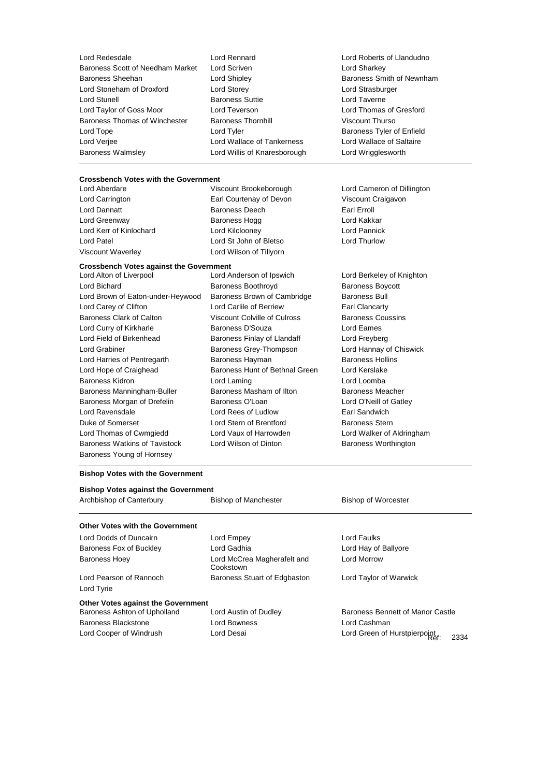| Lord Redesdale                   | Lord Rennard                 | Lord Roberts of Llandudno |
|----------------------------------|------------------------------|---------------------------|
| Baroness Scott of Needham Market | Lord Scriven                 | Lord Sharkey              |
| <b>Baroness Sheehan</b>          | Lord Shipley                 | Baroness Smith of Newnham |
| Lord Stoneham of Droxford        | Lord Storey                  | Lord Strasburger          |
| Lord Stunell                     | <b>Baroness Suttie</b>       | Lord Taverne              |
| Lord Taylor of Goss Moor         | Lord Teverson                | Lord Thomas of Gresford   |
| Baroness Thomas of Winchester    | <b>Baroness Thornhill</b>    | Viscount Thurso           |
| Lord Tope                        | Lord Tyler                   | Baroness Tyler of Enfield |
| Lord Verjee                      | Lord Wallace of Tankerness   | Lord Wallace of Saltaire  |
| <b>Baroness Walmsley</b>         | Lord Willis of Knaresborough | Lord Wrigglesworth        |
|                                  |                              |                           |

## **Crossbench Votes with the Government**<br>Lord Aberdare **Viscount Brookeborough**

Lord Carrington Earl Courtenay of Devon Viscount Craigavon Lord Dannatt **Baroness Deech** Earl Erroll

**Crossbench Votes against the Government** Lord Greenway **Baroness Hogg Lord Kakkar** Lord Kerr of Kinlochard Lord Kilclooney Lord Pannick Viscount Waverley Lord Wilson of Tillyorn

Lord Patel Lord St John of Bletso Lord Thurlow Lord Alton of Liverpool Lord Anderson of Ipswich Lord Berkeley of Knighton Lord Bichard **Baroness Boothroyd** Baroness Boycott Lord Brown of Eaton-under-Heywood Baroness Brown of Cambridge Baroness Bull Lord Carey of Clifton **Lord Carlile of Berriew** Earl Clancarty Baroness Clark of Calton **Viscount Colville of Culross** Baroness Coussins Lord Curry of Kirkharle **Baroness D'Souza** Lord Eames Lord Field of Birkenhead **Baroness Finlay of Llandaff** Lord Freyberg Lord Grabiner Baroness Grey-Thompson Lord Hannay of Chiswick Lord Harries of Pentregarth Baroness Hayman Baroness Hollins Lord Hope of Craighead Baroness Hunt of Bethnal Green Lord Kerslake Baroness Kidron Lord Laming Lord Loomba Baroness Manningham-Buller Baroness Masham of Ilton Baroness Meacher Baroness Morgan of Drefelin Baroness O'Loan Lord O'Neill of Gatley Lord Ravensdale Lord Rees of Ludlow Earl Sandwich

Lord Cameron of Dillington

Duke of Somerset **Lord Stern of Brentford** Baroness Stern Lord Thomas of Cwmgiedd Lord Vaux of Harrowden Lord Walker of Aldringham Baroness Watkins of Tavistock Lord Wilson of Dinton Baroness Worthington

#### **Bishop Votes with the Government**

Baroness Young of Hornsey

| <b>Bishop Votes against the Government</b> |                                          |                                      |  |  |  |
|--------------------------------------------|------------------------------------------|--------------------------------------|--|--|--|
| Archbishop of Canterbury                   | <b>Bishop of Manchester</b>              | <b>Bishop of Worcester</b>           |  |  |  |
| Other Votes with the Government            |                                          |                                      |  |  |  |
| Lord Dodds of Duncairn                     | Lord Empey                               | Lord Faulks                          |  |  |  |
| Baroness Fox of Buckley                    | Lord Gadhia                              | Lord Hay of Ballyore                 |  |  |  |
| <b>Baroness Hoey</b>                       | Lord McCrea Magherafelt and<br>Cookstown | <b>Lord Morrow</b>                   |  |  |  |
| Lord Pearson of Rannoch<br>Lord Tyrie      | Baroness Stuart of Edgbaston             | Lord Taylor of Warwick               |  |  |  |
| Other Votes against the Government         |                                          |                                      |  |  |  |
| Baroness Ashton of Upholland               | Lord Austin of Dudley                    | Baroness Bennett of Manor Castle     |  |  |  |
| Baroness Blackstone                        | Lord Bowness                             | Lord Cashman                         |  |  |  |
| Lord Cooper of Windrush                    | Lord Desai                               | Lord Green of Hurstpierpoint<br>2334 |  |  |  |